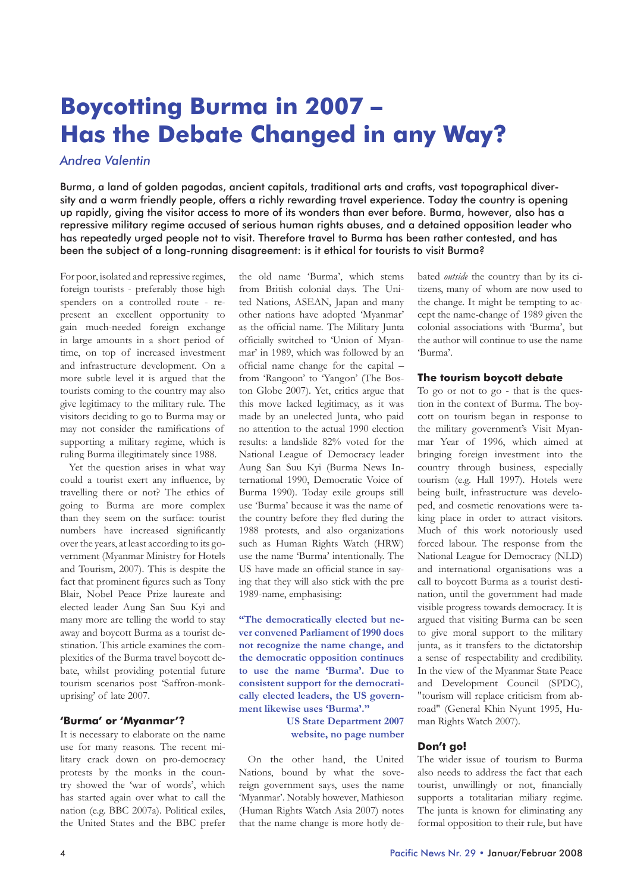# **Boycotting Burma in 2007 – Has the Debate Changed in any Way?**

## *Andrea Valentin*

Burma, a land of golden pagodas, ancient capitals, traditional arts and crafts, vast topographical diversity and a warm friendly people, offers a richly rewarding travel experience. Today the country is opening up rapidly, giving the visitor access to more of its wonders than ever before. Burma, however, also has a repressive military regime accused of serious human rights abuses, and a detained opposition leader who has repeatedly urged people not to visit. Therefore travel to Burma has been rather contested, and has been the subject of a long-running disagreement: is it ethical for tourists to visit Burma?

For poor, isolated and repressive regimes, foreign tourists - preferably those high spenders on a controlled route - represent an excellent opportunity to gain much-needed foreign exchange in large amounts in a short period of time, on top of increased investment and infrastructure development. On a more subtle level it is argued that the tourists coming to the country may also give legitimacy to the military rule. The visitors deciding to go to Burma may or may not consider the ramifications of supporting a military regime, which is ruling Burma illegitimately since 1988.

Yet the question arises in what way could a tourist exert any influence, by travelling there or not? The ethics of going to Burma are more complex than they seem on the surface: tourist numbers have increased significantly over the years, at least according to its government (Myanmar Ministry for Hotels and Tourism, 2007). This is despite the fact that prominent figures such as Tony Blair, Nobel Peace Prize laureate and elected leader Aung San Suu Kyi and many more are telling the world to stay away and boycott Burma as a tourist destination. This article examines the complexities of the Burma travel boycott debate, whilst providing potential future tourism scenarios post 'Saffron-monkuprising' of late 2007.

## **'Burma' or 'Myanmar'?**

It is necessary to elaborate on the name use for many reasons. The recent military crack down on pro-democracy protests by the monks in the country showed the 'war of words', which has started again over what to call the nation (e.g. BBC 2007a). Political exiles, the United States and the BBC prefer

the old name 'Burma', which stems from British colonial days. The United Nations, ASEAN, Japan and many other nations have adopted 'Myanmar' as the official name. The Military Junta officially switched to 'Union of Myanmar' in 1989, which was followed by an official name change for the capital – from 'Rangoon' to 'Yangon' (The Boston Globe 2007). Yet, critics argue that this move lacked legitimacy, as it was made by an unelected Junta, who paid no attention to the actual 1990 election results: a landslide 82% voted for the National League of Democracy leader Aung San Suu Kyi (Burma News International 1990, Democratic Voice of Burma 1990). Today exile groups still use 'Burma' because it was the name of the country before they fled during the 1988 protests, and also organizations such as Human Rights Watch (HRW) use the name 'Burma' intentionally. The US have made an official stance in saying that they will also stick with the pre 1989-name, emphasising:

**"The democratically elected but never convened Parliament of 1990 does not recognize the name change, and the democratic opposition continues to use the name 'Burma'. Due to consistent support for the democratically elected leaders, the US government likewise uses 'Burma'."** 

> **US State Department 2007 website, no page number**

On the other hand, the United Nations, bound by what the sovereign government says, uses the name 'Myanmar'. Notably however, Mathieson (Human Rights Watch Asia 2007) notes that the name change is more hotly debated *outside* the country than by its citizens, many of whom are now used to the change. It might be tempting to accept the name-change of 1989 given the colonial associations with 'Burma', but the author will continue to use the name 'Burma'.

## **The tourism boycott debate**

To go or not to go - that is the question in the context of Burma. The boycott on tourism began in response to the military government's Visit Myanmar Year of 1996, which aimed at bringing foreign investment into the country through business, especially tourism (e.g. Hall 1997). Hotels were being built, infrastructure was developed, and cosmetic renovations were taking place in order to attract visitors. Much of this work notoriously used forced labour. The response from the National League for Democracy (NLD) and international organisations was a call to boycott Burma as a tourist destination, until the government had made visible progress towards democracy. It is argued that visiting Burma can be seen to give moral support to the military junta, as it transfers to the dictatorship a sense of respectability and credibility. In the view of the Myanmar State Peace and Development Council (SPDC), "tourism will replace criticism from abroad" (General Khin Nyunt 1995, Human Rights Watch 2007).

## **Don't go!**

The wider issue of tourism to Burma also needs to address the fact that each tourist, unwillingly or not, financially supports a totalitarian miliary regime. The junta is known for eliminating any formal opposition to their rule, but have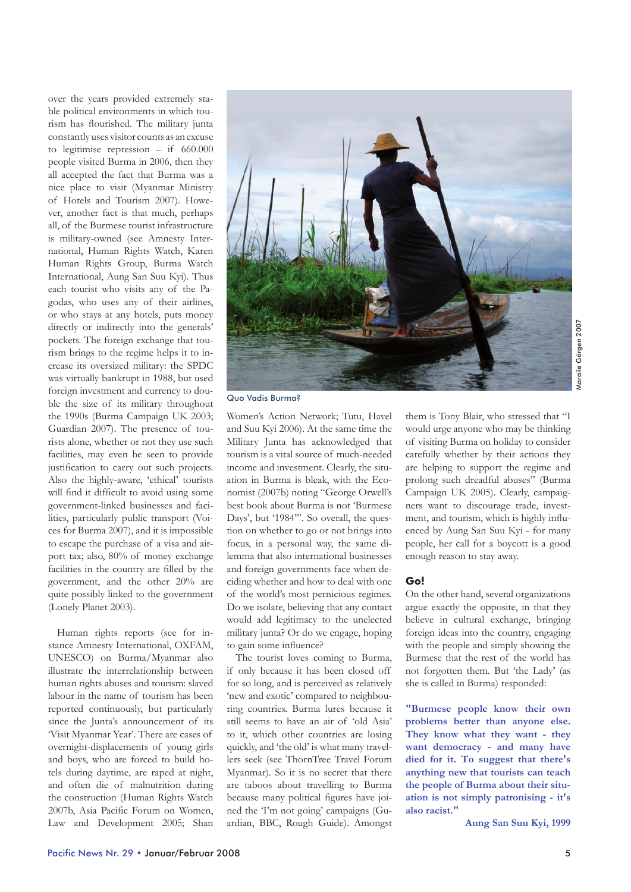over the years provided extremely stable political environments in which tourism has flourished. The military junta constantly uses visitor counts as an excuse to legitimise repression – if 660.000 people visited Burma in 2006, then they all accepted the fact that Burma was a nice place to visit (Myanmar Ministry of Hotels and Tourism 2007). However, another fact is that much, perhaps all, of the Burmese tourist infrastructure is military-owned (see Amnesty International, Human Rights Watch, Karen Human Rights Group, Burma Watch International, Aung San Suu Kyi). Thus each tourist who visits any of the Pagodas, who uses any of their airlines, or who stays at any hotels, puts money directly or indirectly into the generals' pockets. The foreign exchange that tourism brings to the regime helps it to increase its oversized military: the SPDC was virtually bankrupt in 1988, but used foreign investment and currency to double the size of its military throughout the 1990s (Burma Campaign UK 2003; Guardian 2007). The presence of tourists alone, whether or not they use such facilities, may even be seen to provide justification to carry out such projects. Also the highly-aware, 'ethical' tourists will find it difficult to avoid using some government-linked businesses and facilities, particularly public transport (Voices for Burma 2007), and it is impossible to escape the purchase of a visa and airport tax; also, 80% of money exchange facilities in the country are filled by the government, and the other 20% are quite possibly linked to the government (Lonely Planet 2003).

Human rights reports (see for instance Amnesty International, OXFAM, UNESCO) on Burma/Myanmar also illustrate the interrelationship between human rights abuses and tourism: slaved labour in the name of tourism has been reported continuously, but particularly since the Junta's announcement of its 'Visit Myanmar Year'. There are cases of overnight-displacements of young girls and boys, who are forced to build hotels during daytime, are raped at night, and often die of malnutrition during the construction (Human Rights Watch 2007b, Asia Pacific Forum on Women, Law and Development 2005; Shan



Quo Vadis Burma?

Women's Action Network; Tutu, Havel and Suu Kyi 2006). At the same time the Military Junta has acknowledged that tourism is a vital source of much-needed income and investment. Clearly, the situation in Burma is bleak, with the Economist (2007b) noting "George Orwell's best book about Burma is not 'Burmese Days', but '1984'''. So overall, the question on whether to go or not brings into focus, in a personal way, the same dilemma that also international businesses and foreign governments face when deciding whether and how to deal with one of the world's most pernicious regimes. Do we isolate, believing that any contact would add legitimacy to the unelected military junta? Or do we engage, hoping to gain some influence?

The tourist loves coming to Burma, if only because it has been closed off for so long, and is perceived as relatively 'new and exotic' compared to neighbouring countries. Burma lures because it still seems to have an air of 'old Asia' to it, which other countries are losing quickly, and 'the old' is what many travellers seek (see ThornTree Travel Forum Myanmar). So it is no secret that there are taboos about travelling to Burma because many political figures have joined the 'I'm not going' campaigns (Guardian, BBC, Rough Guide). Amongst

them is Tony Blair, who stressed that "I would urge anyone who may be thinking of visiting Burma on holiday to consider carefully whether by their actions they are helping to support the regime and prolong such dreadful abuses" (Burma Campaign UK 2005). Clearly, campaigners want to discourage trade, investment, and tourism, which is highly influenced by Aung San Suu Kyi - for many people, her call for a boycott is a good enough reason to stay away.

## **Go!**

On the other hand, several organizations argue exactly the opposite, in that they believe in cultural exchange, bringing foreign ideas into the country, engaging with the people and simply showing the Burmese that the rest of the world has not forgotten them. But 'the Lady' (as she is called in Burma) responded:

**"Burmese people know their own problems better than anyone else. They know what they want - they want democracy - and many have died for it. To suggest that there's anything new that tourists can teach the people of Burma about their situation is not simply patronising - it's also racist."** 

**Aung San Suu Kyi, 1999**

Maraile Görgen 2007Maraile Görgen 2007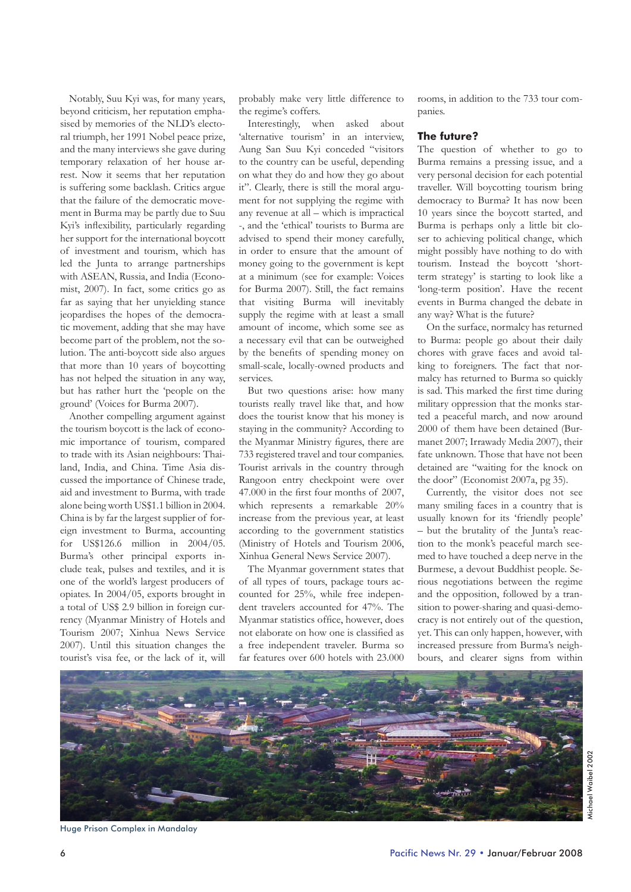Notably, Suu Kyi was, for many years, beyond criticism, her reputation emphasised by memories of the NLD's electoral triumph, her 1991 Nobel peace prize, and the many interviews she gave during temporary relaxation of her house arrest. Now it seems that her reputation is suffering some backlash. Critics argue that the failure of the democratic movement in Burma may be partly due to Suu Kyi's inflexibility, particularly regarding her support for the international boycott of investment and tourism, which has led the Junta to arrange partnerships with ASEAN, Russia, and India (Economist, 2007). In fact, some critics go as far as saying that her unyielding stance jeopardises the hopes of the democratic movement, adding that she may have become part of the problem, not the solution. The anti-boycott side also argues that more than 10 years of boycotting has not helped the situation in any way, but has rather hurt the 'people on the ground' (Voices for Burma 2007).

Another compelling argument against the tourism boycott is the lack of economic importance of tourism, compared to trade with its Asian neighbours: Thailand, India, and China. Time Asia discussed the importance of Chinese trade, aid and investment to Burma, with trade alone being worth US\$1.1 billion in 2004. China is by far the largest supplier of foreign investment to Burma, accounting for US\$126.6 million in 2004/05. Burma's other principal exports include teak, pulses and textiles, and it is one of the world's largest producers of opiates. In 2004/05, exports brought in a total of US\$ 2.9 billion in foreign currency (Myanmar Ministry of Hotels and Tourism 2007; Xinhua News Service 2007). Until this situation changes the tourist's visa fee, or the lack of it, will

probably make very little difference to the regime's coffers.

Interestingly, when asked about 'alternative tourism' in an interview, Aung San Suu Kyi conceded "visitors to the country can be useful, depending on what they do and how they go about it". Clearly, there is still the moral argument for not supplying the regime with any revenue at all – which is impractical -, and the 'ethical' tourists to Burma are advised to spend their money carefully, in order to ensure that the amount of money going to the government is kept at a minimum (see for example: Voices for Burma 2007). Still, the fact remains that visiting Burma will inevitably supply the regime with at least a small amount of income, which some see as a necessary evil that can be outweighed by the benefits of spending money on small-scale, locally-owned products and services.

But two questions arise: how many tourists really travel like that, and how does the tourist know that his money is staying in the community? According to the Myanmar Ministry figures, there are 733 registered travel and tour companies. Tourist arrivals in the country through Rangoon entry checkpoint were over 47.000 in the first four months of 2007, which represents a remarkable 20% increase from the previous year, at least according to the government statistics (Ministry of Hotels and Tourism 2006, Xinhua General News Service 2007).

The Myanmar government states that of all types of tours, package tours accounted for 25%, while free independent travelers accounted for 47%. The Myanmar statistics office, however, does not elaborate on how one is classified as a free independent traveler. Burma so far features over 600 hotels with 23.000 rooms, in addition to the 733 tour companies.

#### **The future?**

The question of whether to go to Burma remains a pressing issue, and a very personal decision for each potential traveller. Will boycotting tourism bring democracy to Burma? It has now been 10 years since the boycott started, and Burma is perhaps only a little bit closer to achieving political change, which might possibly have nothing to do with tourism. Instead the boycott 'shortterm strategy' is starting to look like a 'long-term position'. Have the recent events in Burma changed the debate in any way? What is the future?

On the surface, normalcy has returned to Burma: people go about their daily chores with grave faces and avoid talking to foreigners. The fact that normalcy has returned to Burma so quickly is sad. This marked the first time during military oppression that the monks started a peaceful march, and now around 2000 of them have been detained (Burmanet 2007; Irrawady Media 2007), their fate unknown. Those that have not been detained are "waiting for the knock on the door" (Economist 2007a, pg 35).

Currently, the visitor does not see many smiling faces in a country that is usually known for its 'friendly people' – but the brutality of the Junta's reaction to the monk's peaceful march seemed to have touched a deep nerve in the Burmese, a devout Buddhist people. Serious negotiations between the regime and the opposition, followed by a transition to power-sharing and quasi-democracy is not entirely out of the question, yet. This can only happen, however, with increased pressure from Burma's neighbours, and clearer signs from within



Huge Prison Complex in Mandalay